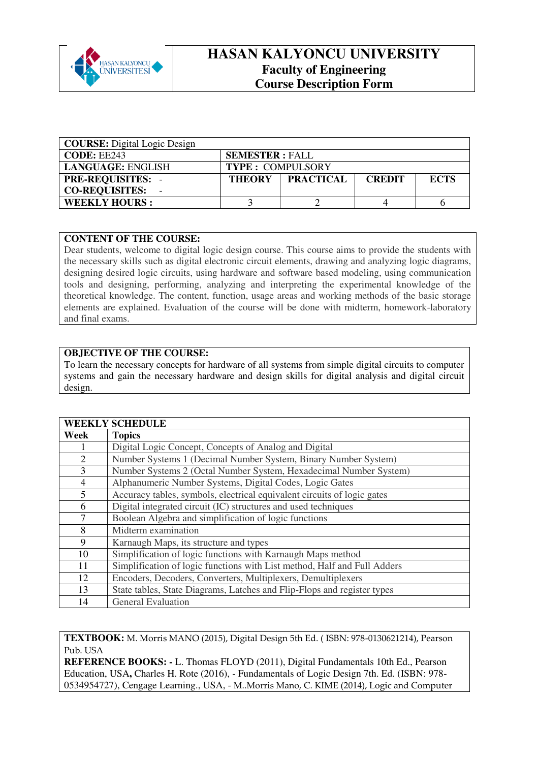

## **HASAN KALYONCU UNIVERSITY Faculty of Engineering Course Description Form**

| <b>COURSE:</b> Digital Logic Design |                         |                    |               |             |
|-------------------------------------|-------------------------|--------------------|---------------|-------------|
| CODE: EE243                         | <b>SEMESTER: FALL</b>   |                    |               |             |
| <b>LANGUAGE: ENGLISH</b>            | <b>TYPE: COMPULSORY</b> |                    |               |             |
| <b>PRE-REQUISITES: -</b>            |                         | THEORY   PRACTICAL | <b>CREDIT</b> | <b>ECTS</b> |
| <b>CO-REQUISITES:</b>               |                         |                    |               |             |
| <b>WEEKLY HOURS:</b>                |                         |                    |               |             |

## **CONTENT OF THE COURSE:**

Dear students, welcome to digital logic design course. This course aims to provide the students with the necessary skills such as digital electronic circuit elements, drawing and analyzing logic diagrams, designing desired logic circuits, using hardware and software based modeling, using communication tools and designing, performing, analyzing and interpreting the experimental knowledge of the theoretical knowledge. The content, function, usage areas and working methods of the basic storage elements are explained. Evaluation of the course will be done with midterm, homework-laboratory and final exams.

## **OBJECTIVE OF THE COURSE:**

To learn the necessary concepts for hardware of all systems from simple digital circuits to computer systems and gain the necessary hardware and design skills for digital analysis and digital circuit design.

| <b>WEEKLY SCHEDULE</b> |                                                                          |  |  |
|------------------------|--------------------------------------------------------------------------|--|--|
| Week                   | <b>Topics</b>                                                            |  |  |
| Ι.                     | Digital Logic Concept, Concepts of Analog and Digital                    |  |  |
| $\overline{2}$         | Number Systems 1 (Decimal Number System, Binary Number System)           |  |  |
| 3                      | Number Systems 2 (Octal Number System, Hexadecimal Number System)        |  |  |
| $\overline{4}$         | Alphanumeric Number Systems, Digital Codes, Logic Gates                  |  |  |
| 5                      | Accuracy tables, symbols, electrical equivalent circuits of logic gates  |  |  |
| 6                      | Digital integrated circuit (IC) structures and used techniques           |  |  |
| 7                      | Boolean Algebra and simplification of logic functions                    |  |  |
| 8                      | Midterm examination                                                      |  |  |
| 9                      | Karnaugh Maps, its structure and types                                   |  |  |
| 10                     | Simplification of logic functions with Karnaugh Maps method              |  |  |
| 11                     | Simplification of logic functions with List method, Half and Full Adders |  |  |
| 12                     | Encoders, Decoders, Converters, Multiplexers, Demultiplexers             |  |  |
| 13                     | State tables, State Diagrams, Latches and Flip-Flops and register types  |  |  |
| 14                     | <b>General Evaluation</b>                                                |  |  |

**TEXTBOOK:** M. Morris MANO (2015), Digital Design 5th Ed. ( ISBN: 978-0130621214), Pearson Pub. USA

**REFERENCE BOOKS: -** L. Thomas FLOYD (2011), Digital Fundamentals 10th Ed., Pearson Education, USA**,** Charles H. Rote (2016), - Fundamentals of Logic Design 7th. Ed. (ISBN: 978- 0534954727), Cengage Learning., USA, - M..Morris Mano, C. KIME (2014), Logic and Computer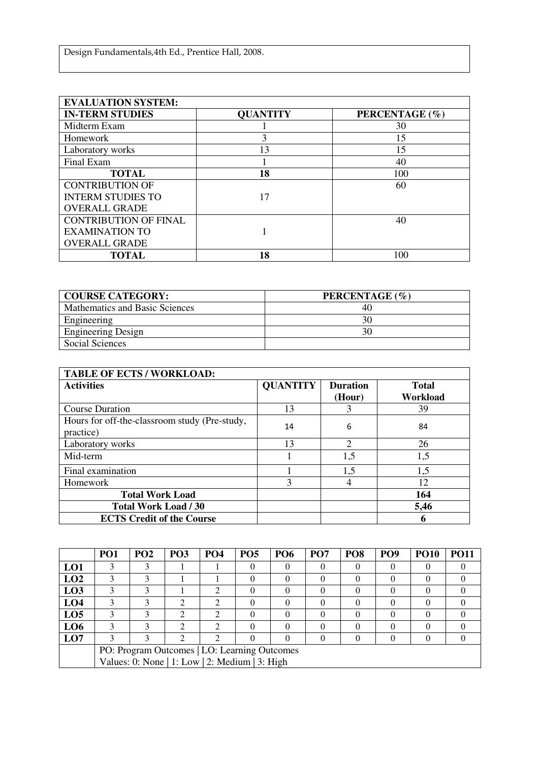| <b>EVALUATION SYSTEM:</b>    |                 |                |  |  |  |
|------------------------------|-----------------|----------------|--|--|--|
| <b>IN-TERM STUDIES</b>       | <b>QUANTITY</b> | PERCENTAGE (%) |  |  |  |
| Midterm Exam                 |                 | 30             |  |  |  |
| Homework                     |                 | 15             |  |  |  |
| Laboratory works             | 13              | 15             |  |  |  |
| Final Exam                   |                 | 40             |  |  |  |
| <b>TOTAL</b>                 | 18              | 100            |  |  |  |
| <b>CONTRIBUTION OF</b>       |                 | 60             |  |  |  |
| <b>INTERM STUDIES TO</b>     | 17              |                |  |  |  |
| <b>OVERALL GRADE</b>         |                 |                |  |  |  |
| <b>CONTRIBUTION OF FINAL</b> |                 | 40             |  |  |  |
| <b>EXAMINATION TO</b>        |                 |                |  |  |  |
| <b>OVERALL GRADE</b>         |                 |                |  |  |  |
| <b>TOTAL</b>                 | 18              | 100            |  |  |  |

| <b>COURSE CATEGORY:</b>        | PERCENTAGE (%) |
|--------------------------------|----------------|
| Mathematics and Basic Sciences | 40             |
| Engineering                    | 30             |
| <b>Engineering Design</b>      | 30             |
| <b>Social Sciences</b>         |                |

| <b>TABLE OF ECTS / WORKLOAD:</b>                           |                 |                           |                          |
|------------------------------------------------------------|-----------------|---------------------------|--------------------------|
| <b>Activities</b>                                          | <b>QUANTITY</b> | <b>Duration</b><br>(Hour) | <b>Total</b><br>Workload |
| <b>Course Duration</b>                                     | 13              |                           | 39                       |
| Hours for off-the-classroom study (Pre-study,<br>practice) | 14              | 6                         | 84                       |
| Laboratory works                                           | 13              | $\mathcal{D}$             | 26                       |
| Mid-term                                                   |                 | 1,5                       | 1,5                      |
| Final examination                                          |                 | 1,5                       | 1,5                      |
| Homework                                                   | 3               |                           | 12                       |
| <b>Total Work Load</b>                                     |                 |                           | 164                      |
| <b>Total Work Load / 30</b>                                |                 |                           | 5,46                     |
| <b>ECTS Credit of the Course</b>                           |                 |                           | 6                        |

|                 | PO <sub>1</sub>                                | PO <sub>2</sub> | PO <sub>3</sub> | <b>PO4</b>                  | <b>PO5</b> | PO <sub>6</sub> | PO <sub>7</sub> | PO <sub>8</sub> | <b>PO9</b> | <b>PO10</b> | <b>PO11</b> |
|-----------------|------------------------------------------------|-----------------|-----------------|-----------------------------|------------|-----------------|-----------------|-----------------|------------|-------------|-------------|
| LO1             |                                                |                 |                 |                             | $\Omega$   | 0               |                 |                 |            | $_{0}$      |             |
| LO2             | 3                                              | 3               |                 |                             | $\Omega$   | $\Omega$        | $\Omega$        |                 |            | 0           |             |
| L <sub>03</sub> |                                                |                 |                 | ∍                           | $\Omega$   |                 |                 |                 |            | $\theta$    |             |
| LO <sub>4</sub> |                                                |                 |                 | $\mathcal{D}_{\mathcal{L}}$ | $\Omega$   | 0               |                 |                 |            | 0           |             |
| LO <sub>5</sub> |                                                |                 |                 | $\mathfrak{D}$              | 0          |                 |                 |                 |            | $\Omega$    |             |
| L <sub>06</sub> | 3                                              |                 | ◠               | $\mathfrak{D}$              | $\Omega$   | $\Omega$        |                 |                 |            | $\Omega$    |             |
| LO7             |                                                |                 | $\mathfrak{D}$  | $\mathcal{D}_{\mathcal{L}}$ | $\Omega$   | 0               | $\left($        |                 |            |             |             |
|                 | PO: Program Outcomes   LO: Learning Outcomes   |                 |                 |                             |            |                 |                 |                 |            |             |             |
|                 | Values: 0: None   1: Low   2: Medium   3: High |                 |                 |                             |            |                 |                 |                 |            |             |             |